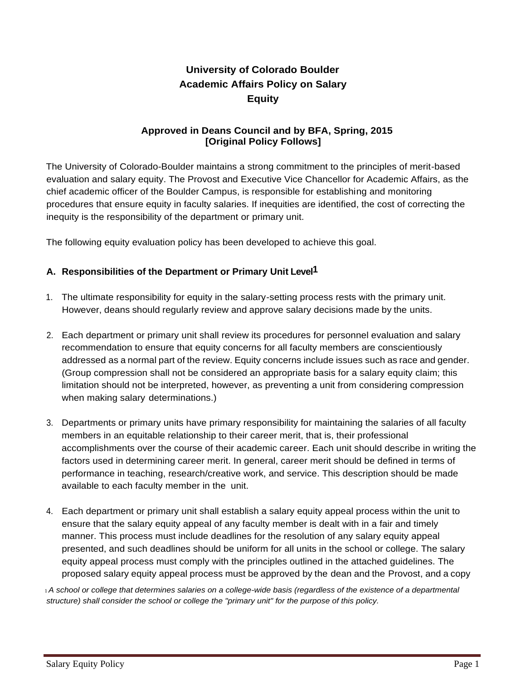# **University of Colorado Boulder Academic Affairs Policy on Salary Equity**

### **Approved in Deans Council and by BFA, Spring, 2015 [Original Policy Follows]**

The University of Colorado-Boulder maintains a strong commitment to the principles of merit-based evaluation and salary equity. The Provost and Executive Vice Chancellor for Academic Affairs, as the chief academic officer of the Boulder Campus, is responsible for establishing and monitoring procedures that ensure equity in faculty salaries. If inequities are identified, the cost of correcting the inequity is the responsibility of the department or primary unit.

The following equity evaluation policy has been developed to achieve this goal.

# **A. Responsibilities of the Department or Primary Unit Level1**

- 1. The ultimate responsibility for equity in the salary-setting process rests with the primary unit. However, deans should regularly review and approve salary decisions made by the units.
- 2. Each department or primary unit shall review its procedures for personnel evaluation and salary recommendation to ensure that equity concerns for all faculty members are conscientiously addressed as a normal part of the review. Equity concerns include issues such as race and gender. (Group compression shall not be considered an appropriate basis for a salary equity claim; this limitation should not be interpreted, however, as preventing a unit from considering compression when making salary determinations.)
- 3. Departments or primary units have primary responsibility for maintaining the salaries of all faculty members in an equitable relationship to their career merit, that is, their professional accomplishments over the course of their academic career. Each unit should describe in writing the factors used in determining career merit. In general, career merit should be defined in terms of performance in teaching, research/creative work, and service. This description should be made available to each faculty member in the unit.
- 4. Each department or primary unit shall establish a salary equity appeal process within the unit to ensure that the salary equity appeal of any faculty member is dealt with in a fair and timely manner. This process must include deadlines for the resolution of any salary equity appeal presented, and such deadlines should be uniform for all units in the school or college. The salary equity appeal process must comply with the principles outlined in the attached guidelines. The proposed salary equity appeal process must be approved by the dean and the Provost, and a copy

<sup>1</sup>*A school or college that determines salaries on a college-wide basis (regardless of the existence of a departmental structure) shall consider the school or college the "primary unit" for the purpose of this policy.*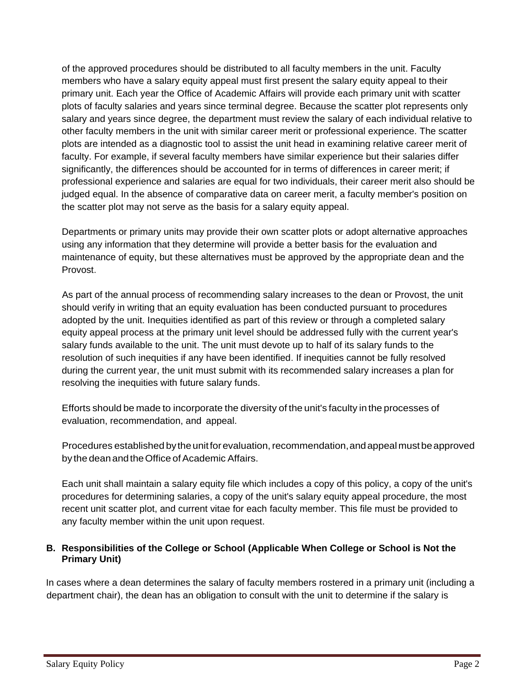of the approved procedures should be distributed to all faculty members in the unit. Faculty members who have a salary equity appeal must first present the salary equity appeal to their primary unit. Each year the Office of Academic Affairs will provide each primary unit with scatter plots of faculty salaries and years since terminal degree. Because the scatter plot represents only salary and years since degree, the department must review the salary of each individual relative to other faculty members in the unit with similar career merit or professional experience. The scatter plots are intended as a diagnostic tool to assist the unit head in examining relative career merit of faculty. For example, if several faculty members have similar experience but their salaries differ significantly, the differences should be accounted for in terms of differences in career merit; if professional experience and salaries are equal for two individuals, their career merit also should be judged equal. In the absence of comparative data on career merit, a faculty member's position on the scatter plot may not serve as the basis for a salary equity appeal.

Departments or primary units may provide their own scatter plots or adopt alternative approaches using any information that they determine will provide a better basis for the evaluation and maintenance of equity, but these alternatives must be approved by the appropriate dean and the Provost.

As part of the annual process of recommending salary increases to the dean or Provost, the unit should verify in writing that an equity evaluation has been conducted pursuant to procedures adopted by the unit. Inequities identified as part of this review or through a completed salary equity appeal process at the primary unit level should be addressed fully with the current year's salary funds available to the unit. The unit must devote up to half of its salary funds to the resolution of such inequities if any have been identified. If inequities cannot be fully resolved during the current year, the unit must submit with its recommended salary increases a plan for resolving the inequities with future salary funds.

Efforts should be made to incorporate the diversity of the unit's faculty in the processes of evaluation, recommendation, and appeal.

Procedures established by the unit for evaluation, recommendation, and appeal must be approved by the dean and the Office of Academic Affairs.

Each unit shall maintain a salary equity file which includes a copy of this policy, a copy of the unit's procedures for determining salaries, a copy of the unit's salary equity appeal procedure, the most recent unit scatter plot, and current vitae for each faculty member. This file must be provided to any faculty member within the unit upon request.

### **B. Responsibilities of the College or School (Applicable When College or School is Not the Primary Unit)**

In cases where a dean determines the salary of faculty members rostered in a primary unit (including a department chair), the dean has an obligation to consult with the unit to determine if the salary is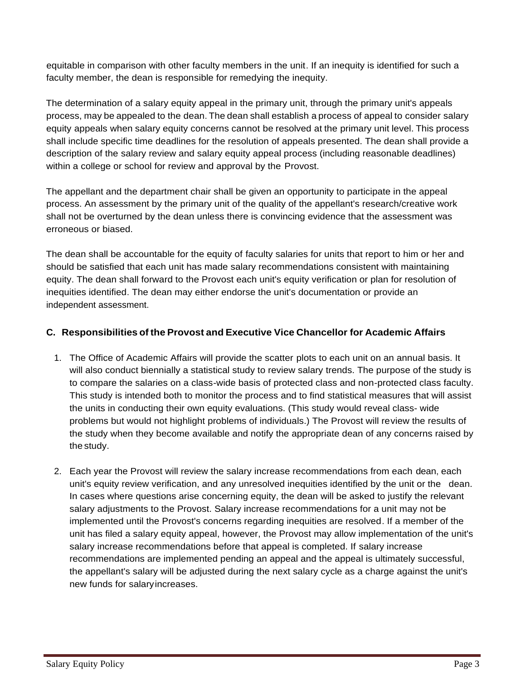equitable in comparison with other faculty members in the unit. If an inequity is identified for such a faculty member, the dean is responsible for remedying the inequity.

The determination of a salary equity appeal in the primary unit, through the primary unit's appeals process, may be appealed to the dean. The dean shall establish a process of appeal to consider salary equity appeals when salary equity concerns cannot be resolved at the primary unit level. This process shall include specific time deadlines for the resolution of appeals presented. The dean shall provide a description of the salary review and salary equity appeal process (including reasonable deadlines) within a college or school for review and approval by the Provost.

The appellant and the department chair shall be given an opportunity to participate in the appeal process. An assessment by the primary unit of the quality of the appellant's research/creative work shall not be overturned by the dean unless there is convincing evidence that the assessment was erroneous or biased.

The dean shall be accountable for the equity of faculty salaries for units that report to him or her and should be satisfied that each unit has made salary recommendations consistent with maintaining equity. The dean shall forward to the Provost each unit's equity verification or plan for resolution of inequities identified. The dean may either endorse the unit's documentation or provide an independent assessment.

### **C. Responsibilities of the Provost and Executive Vice Chancellor for Academic Affairs**

- 1. The Office of Academic Affairs will provide the scatter plots to each unit on an annual basis. It will also conduct biennially a statistical study to review salary trends. The purpose of the study is to compare the salaries on a class-wide basis of protected class and non-protected class faculty. This study is intended both to monitor the process and to find statistical measures that will assist the units in conducting their own equity evaluations. (This study would reveal class- wide problems but would not highlight problems of individuals.) The Provost will review the results of the study when they become available and notify the appropriate dean of any concerns raised by the study.
- 2. Each year the Provost will review the salary increase recommendations from each dean, each unit's equity review verification, and any unresolved inequities identified by the unit or the dean. In cases where questions arise concerning equity, the dean will be asked to justify the relevant salary adjustments to the Provost. Salary increase recommendations for a unit may not be implemented until the Provost's concerns regarding inequities are resolved. If a member of the unit has filed a salary equity appeal, however, the Provost may allow implementation of the unit's salary increase recommendations before that appeal is completed. If salary increase recommendations are implemented pending an appeal and the appeal is ultimately successful, the appellant's salary will be adjusted during the next salary cycle as a charge against the unit's new funds for salaryincreases.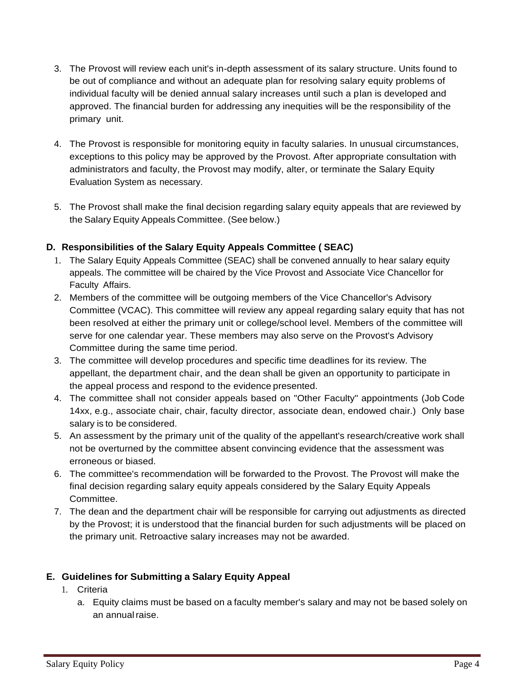- 3. The Provost will review each unit's in-depth assessment of its salary structure. Units found to be out of compliance and without an adequate plan for resolving salary equity problems of individual faculty will be denied annual salary increases until such a plan is developed and approved. The financial burden for addressing any inequities will be the responsibility of the primary unit.
- 4. The Provost is responsible for monitoring equity in faculty salaries. In unusual circumstances, exceptions to this policy may be approved by the Provost. After appropriate consultation with administrators and faculty, the Provost may modify, alter, or terminate the Salary Equity Evaluation System as necessary.
- 5. The Provost shall make the final decision regarding salary equity appeals that are reviewed by the Salary Equity Appeals Committee. (See below.)

# **D. Responsibilities of the Salary Equity Appeals Committee ( SEAC)**

- 1. The Salary Equity Appeals Committee (SEAC) shall be convened annually to hear salary equity appeals. The committee will be chaired by the Vice Provost and Associate Vice Chancellor for Faculty Affairs.
- 2. Members of the committee will be outgoing members of the Vice Chancellor's Advisory Committee (VCAC). This committee will review any appeal regarding salary equity that has not been resolved at either the primary unit or college/school level. Members of the committee will serve for one calendar year. These members may also serve on the Provost's Advisory Committee during the same time period.
- 3. The committee will develop procedures and specific time deadlines for its review. The appellant, the department chair, and the dean shall be given an opportunity to participate in the appeal process and respond to the evidence presented.
- 4. The committee shall not consider appeals based on "Other Faculty" appointments (Job Code 14xx, e.g., associate chair, chair, faculty director, associate dean, endowed chair.) Only base salary is to be considered.
- 5. An assessment by the primary unit of the quality of the appellant's research/creative work shall not be overturned by the committee absent convincing evidence that the assessment was erroneous or biased.
- 6. The committee's recommendation will be forwarded to the Provost. The Provost will make the final decision regarding salary equity appeals considered by the Salary Equity Appeals Committee.
- 7. The dean and the department chair will be responsible for carrying out adjustments as directed by the Provost; it is understood that the financial burden for such adjustments will be placed on the primary unit. Retroactive salary increases may not be awarded.

# **E. Guidelines for Submitting a Salary Equity Appeal**

- 1. Criteria
	- a. Equity claims must be based on a faculty member's salary and may not be based solely on an annualraise.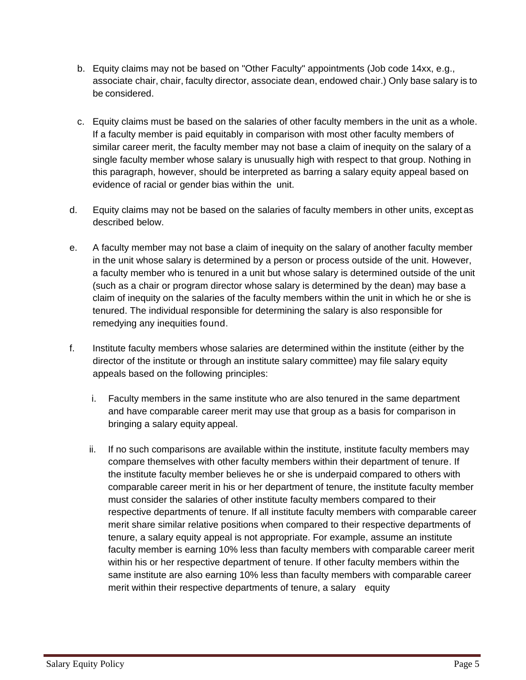- b. Equity claims may not be based on "Other Faculty" appointments (Job code 14xx, e.g., associate chair, chair, faculty director, associate dean, endowed chair.) Only base salary is to be considered.
- c. Equity claims must be based on the salaries of other faculty members in the unit as a whole. If a faculty member is paid equitably in comparison with most other faculty members of similar career merit, the faculty member may not base a claim of inequity on the salary of a single faculty member whose salary is unusually high with respect to that group. Nothing in this paragraph, however, should be interpreted as barring a salary equity appeal based on evidence of racial or gender bias within the unit.
- d. Equity claims may not be based on the salaries of faculty members in other units, except as described below.
- e. A faculty member may not base a claim of inequity on the salary of another faculty member in the unit whose salary is determined by a person or process outside of the unit. However, a faculty member who is tenured in a unit but whose salary is determined outside of the unit (such as a chair or program director whose salary is determined by the dean) may base a claim of inequity on the salaries of the faculty members within the unit in which he or she is tenured. The individual responsible for determining the salary is also responsible for remedying any inequities found.
- f. Institute faculty members whose salaries are determined within the institute (either by the director of the institute or through an institute salary committee) may file salary equity appeals based on the following principles:
	- i. Faculty members in the same institute who are also tenured in the same department and have comparable career merit may use that group as a basis for comparison in bringing a salary equity appeal.
	- ii. If no such comparisons are available within the institute, institute faculty members may compare themselves with other faculty members within their department of tenure. If the institute faculty member believes he or she is underpaid compared to others with comparable career merit in his or her department of tenure, the institute faculty member must consider the salaries of other institute faculty members compared to their respective departments of tenure. If all institute faculty members with comparable career merit share similar relative positions when compared to their respective departments of tenure, a salary equity appeal is not appropriate. For example, assume an institute faculty member is earning 10% less than faculty members with comparable career merit within his or her respective department of tenure. If other faculty members within the same institute are also earning 10% less than faculty members with comparable career merit within their respective departments of tenure, a salary equity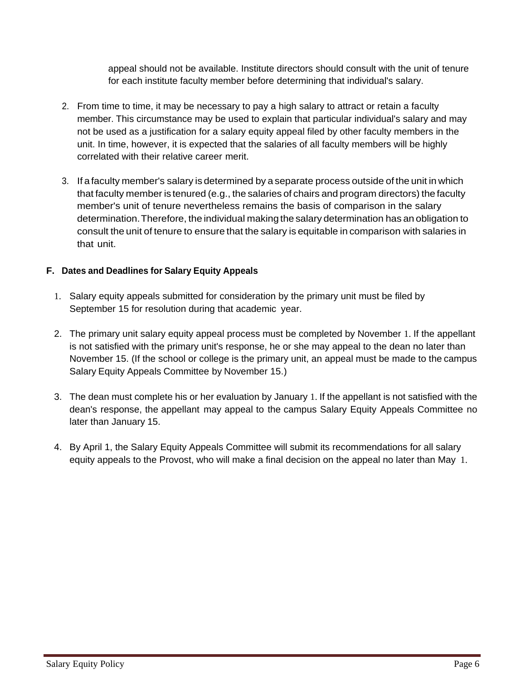appeal should not be available. Institute directors should consult with the unit of tenure for each institute faculty member before determining that individual's salary.

- 2. From time to time, it may be necessary to pay a high salary to attract or retain a faculty member. This circumstance may be used to explain that particular individual's salary and may not be used as a justification for a salary equity appeal filed by other faculty members in the unit. In time, however, it is expected that the salaries of all faculty members will be highly correlated with their relative career merit.
- 3. If a faculty member's salary is determined by a separate process outside of the unit in which that faculty member is tenured (e.g., the salaries of chairs and program directors) the faculty member's unit of tenure nevertheless remains the basis of comparison in the salary determination.Therefore, the individual making the salary determination has an obligation to consult the unit of tenure to ensure that the salary is equitable in comparison with salaries in that unit.

# **F. Dates and Deadlines for Salary Equity Appeals**

- 1. Salary equity appeals submitted for consideration by the primary unit must be filed by September 15 for resolution during that academic year.
- 2. The primary unit salary equity appeal process must be completed by November 1. If the appellant is not satisfied with the primary unit's response, he or she may appeal to the dean no later than November 15. (If the school or college is the primary unit, an appeal must be made to the campus Salary Equity Appeals Committee by November 15.)
- 3. The dean must complete his or her evaluation by January 1. If the appellant is not satisfied with the dean's response, the appellant may appeal to the campus Salary Equity Appeals Committee no later than January 15.
- 4. By April 1, the Salary Equity Appeals Committee will submit its recommendations for all salary equity appeals to the Provost, who will make a final decision on the appeal no later than May 1.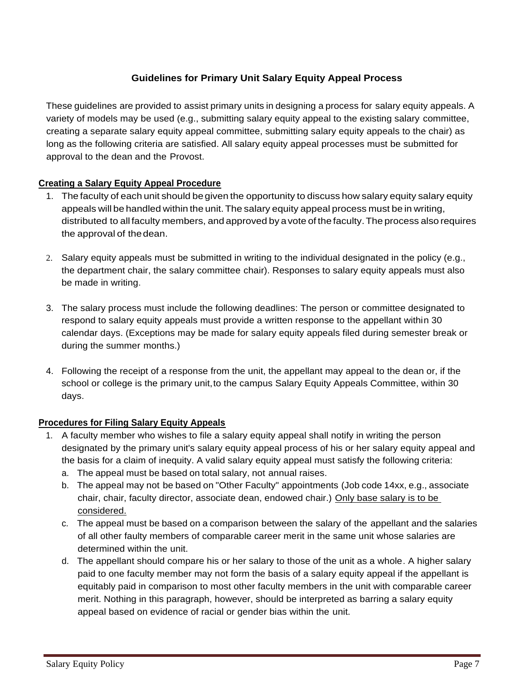# **Guidelines for Primary Unit Salary Equity Appeal Process**

These guidelines are provided to assist primary units in designing a process for salary equity appeals. A variety of models may be used (e.g., submitting salary equity appeal to the existing salary committee, creating a separate salary equity appeal committee, submitting salary equity appeals to the chair) as long as the following criteria are satisfied. All salary equity appeal processes must be submitted for approval to the dean and the Provost.

### **Creating a Salary Equity Appeal Procedure**

- 1. The faculty of each unit should be given the opportunity to discuss how salary equity salary equity appeals will be handled within the unit. The salary equity appeal process must be in writing, distributed to all faculty members, and approved by a vote of the faculty. The process also requires the approval of thedean.
- 2. Salary equity appeals must be submitted in writing to the individual designated in the policy (e.g., the department chair, the salary committee chair). Responses to salary equity appeals must also be made in writing.
- 3. The salary process must include the following deadlines: The person or committee designated to respond to salary equity appeals must provide a written response to the appellant within 30 calendar days. (Exceptions may be made for salary equity appeals filed during semester break or during the summer months.)
- 4. Following the receipt of a response from the unit, the appellant may appeal to the dean or, if the school or college is the primary unit,to the campus Salary Equity Appeals Committee, within 30 days.

### **Procedures for Filing Salary Equity Appeals**

- 1. A faculty member who wishes to file a salary equity appeal shall notify in writing the person designated by the primary unit's salary equity appeal process of his or her salary equity appeal and the basis for a claim of inequity. A valid salary equity appeal must satisfy the following criteria:
	- a. The appeal must be based on total salary, not annual raises.
	- b. The appeal may not be based on "Other Faculty" appointments (Job code 14xx, e.g., associate chair, chair, faculty director, associate dean, endowed chair.) Only base salary is to be considered.
	- c. The appeal must be based on a comparison between the salary of the appellant and the salaries of all other faulty members of comparable career merit in the same unit whose salaries are determined within the unit.
	- d. The appellant should compare his or her salary to those of the unit as a whole. A higher salary paid to one faculty member may not form the basis of a salary equity appeal if the appellant is equitably paid in comparison to most other faculty members in the unit with comparable career merit. Nothing in this paragraph, however, should be interpreted as barring a salary equity appeal based on evidence of racial or gender bias within the unit.